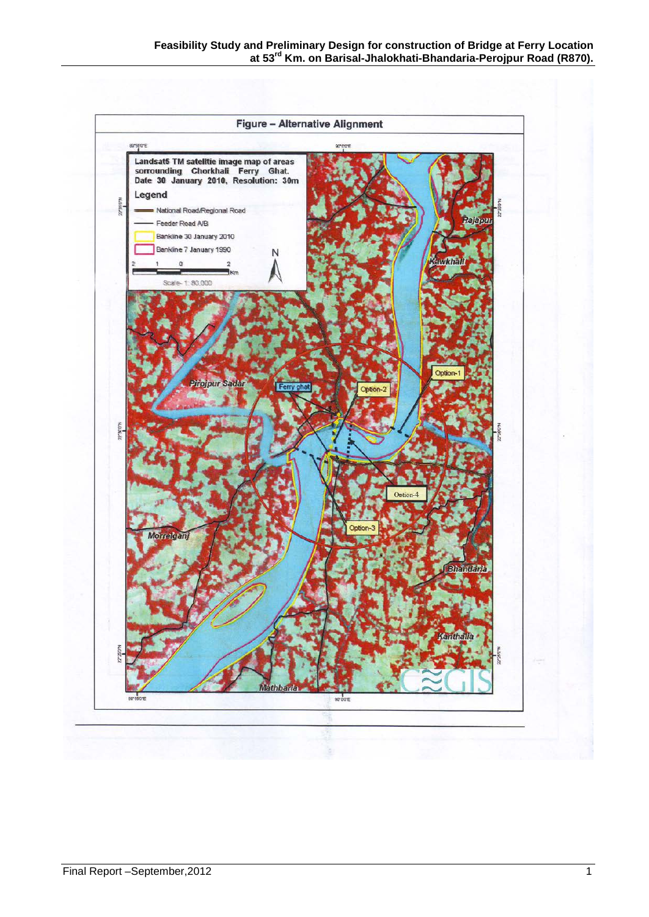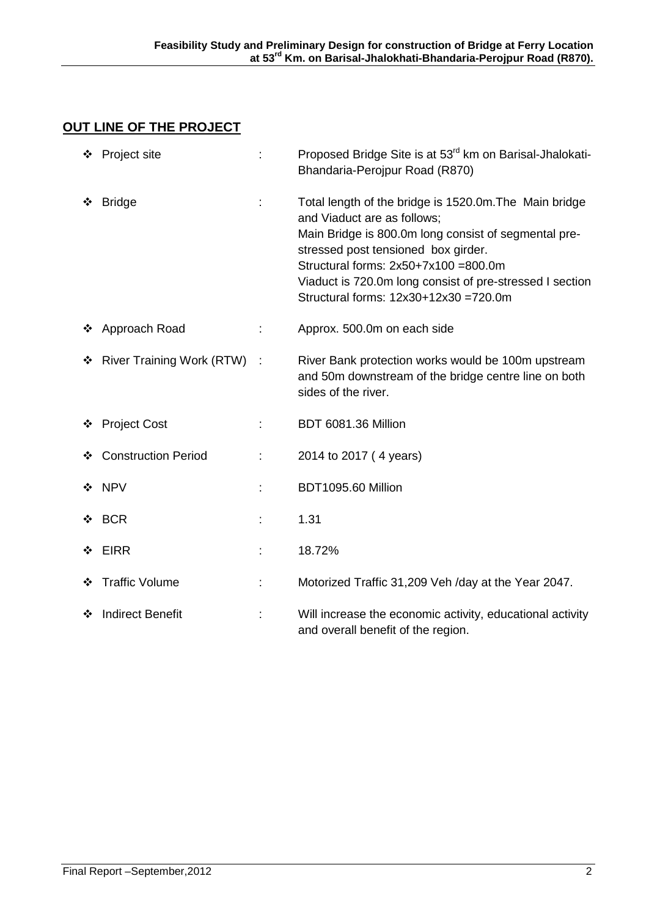# **OUT LINE OF THE PROJECT**

|   | ❖ Project site              |   | Proposed Bridge Site is at 53 <sup>rd</sup> km on Barisal-Jhalokati-<br>Bhandaria-Perojpur Road (R870)                                                                                                                                                                                                                               |
|---|-----------------------------|---|--------------------------------------------------------------------------------------------------------------------------------------------------------------------------------------------------------------------------------------------------------------------------------------------------------------------------------------|
|   | <b>Bridge</b>               | t | Total length of the bridge is 1520.0m. The Main bridge<br>and Viaduct are as follows;<br>Main Bridge is 800.0m long consist of segmental pre-<br>stressed post tensioned box girder.<br>Structural forms: $2x50+7x100 = 800.0m$<br>Viaduct is 720.0m long consist of pre-stressed I section<br>Structural forms: 12x30+12x30 =720.0m |
|   | ❖ Approach Road             | ÷ | Approx. 500.0m on each side                                                                                                                                                                                                                                                                                                          |
| ❖ | River Training Work (RTW) : |   | River Bank protection works would be 100m upstream<br>and 50m downstream of the bridge centre line on both<br>sides of the river.                                                                                                                                                                                                    |
| ❖ | <b>Project Cost</b>         | ÷ | BDT 6081.36 Million                                                                                                                                                                                                                                                                                                                  |
| ❖ | <b>Construction Period</b>  | ÷ | 2014 to 2017 (4 years)                                                                                                                                                                                                                                                                                                               |
|   | ❖ NPV                       |   | BDT1095.60 Million                                                                                                                                                                                                                                                                                                                   |
|   | $\div$ BCR                  |   | 1.31                                                                                                                                                                                                                                                                                                                                 |
| ❖ | <b>EIRR</b>                 | ÷ | 18.72%                                                                                                                                                                                                                                                                                                                               |
|   | ❖ Traffic Volume            | ÷ | Motorized Traffic 31,209 Veh /day at the Year 2047.                                                                                                                                                                                                                                                                                  |
| ❖ | <b>Indirect Benefit</b>     |   | Will increase the economic activity, educational activity<br>and overall benefit of the region.                                                                                                                                                                                                                                      |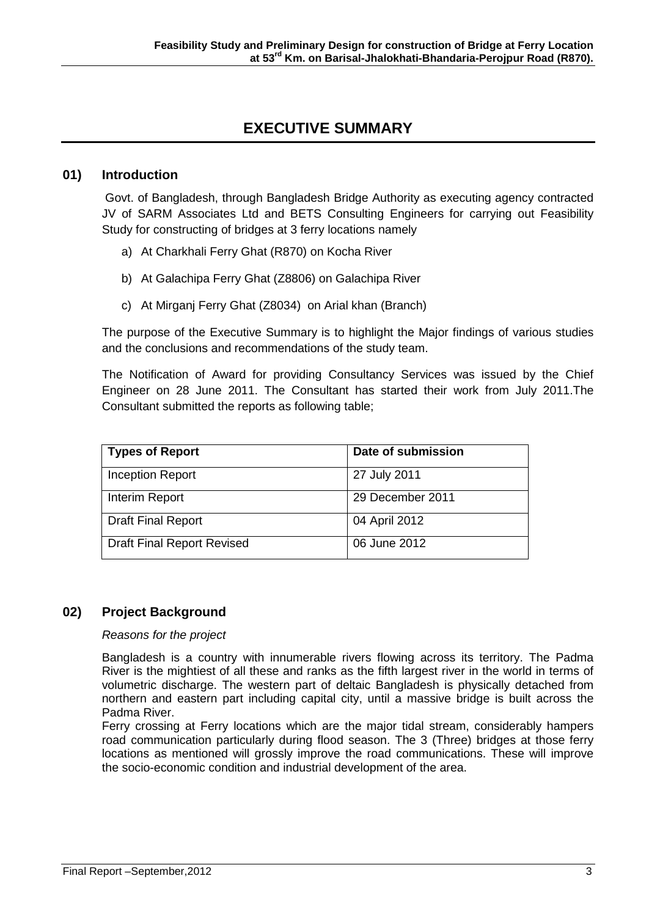# **EXECUTIVE SUMMARY**

## **01) Introduction**

Govt. of Bangladesh, through Bangladesh Bridge Authority as executing agency contracted JV of SARM Associates Ltd and BETS Consulting Engineers for carrying out Feasibility Study for constructing of bridges at 3 ferry locations namely

- a) At Charkhali Ferry Ghat (R870) on Kocha River
- b) At Galachipa Ferry Ghat (Z8806) on Galachipa River
- c) At Mirganj Ferry Ghat (Z8034) on Arial khan (Branch)

The purpose of the Executive Summary is to highlight the Major findings of various studies and the conclusions and recommendations of the study team.

The Notification of Award for providing Consultancy Services was issued by the Chief Engineer on 28 June 2011. The Consultant has started their work from July 2011.The Consultant submitted the reports as following table;

| <b>Types of Report</b>            | Date of submission |
|-----------------------------------|--------------------|
| <b>Inception Report</b>           | 27 July 2011       |
| Interim Report                    | 29 December 2011   |
| <b>Draft Final Report</b>         | 04 April 2012      |
| <b>Draft Final Report Revised</b> | 06 June 2012       |

## **02) Project Background**

### *Reasons for the project*

Bangladesh is a country with innumerable rivers flowing across its territory. The Padma River is the mightiest of all these and ranks as the fifth largest river in the world in terms of volumetric discharge. The western part of deltaic Bangladesh is physically detached from northern and eastern part including capital city, until a massive bridge is built across the Padma River.

Ferry crossing at Ferry locations which are the major tidal stream, considerably hampers road communication particularly during flood season. The 3 (Three) bridges at those ferry locations as mentioned will grossly improve the road communications. These will improve the socio-economic condition and industrial development of the area.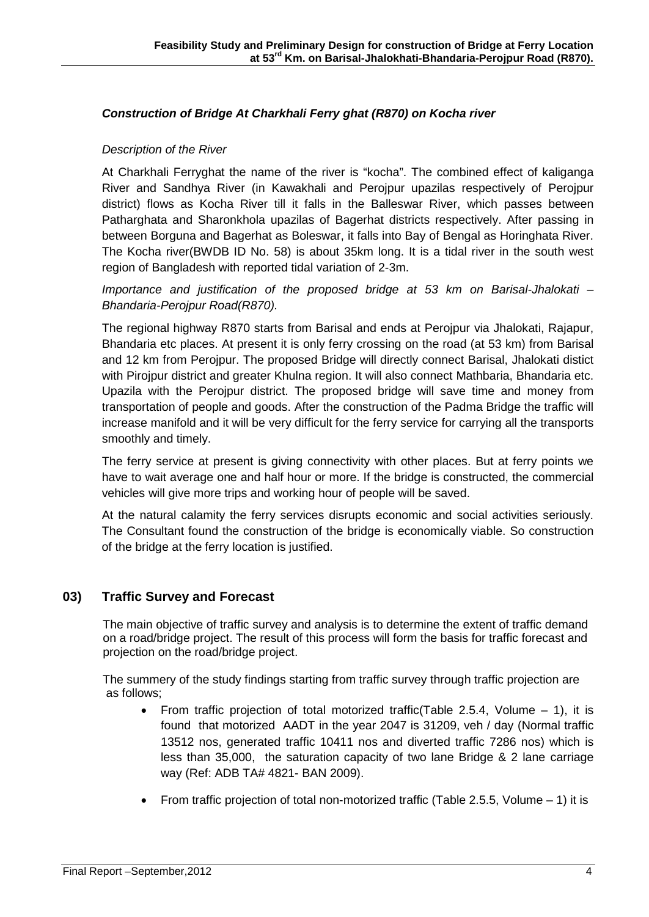## *Construction of Bridge At Charkhali Ferry ghat (R870) on Kocha river*

### *Description of the River*

At Charkhali Ferryghat the name of the river is "kocha". The combined effect of kaliganga River and Sandhya River (in Kawakhali and Perojpur upazilas respectively of Perojpur district) flows as Kocha River till it falls in the Balleswar River, which passes between Patharghata and Sharonkhola upazilas of Bagerhat districts respectively. After passing in between Borguna and Bagerhat as Boleswar, it falls into Bay of Bengal as Horinghata River. The Kocha river(BWDB ID No. 58) is about 35km long. It is a tidal river in the south west region of Bangladesh with reported tidal variation of 2-3m.

*Importance and justification of the proposed bridge at 53 km on Barisal-Jhalokati – Bhandaria-Perojpur Road(R870).*

The regional highway R870 starts from Barisal and ends at Perojpur via Jhalokati, Rajapur, Bhandaria etc places. At present it is only ferry crossing on the road (at 53 km) from Barisal and 12 km from Perojpur. The proposed Bridge will directly connect Barisal, Jhalokati distict with Pirojpur district and greater Khulna region. It will also connect Mathbaria, Bhandaria etc. Upazila with the Perojpur district. The proposed bridge will save time and money from transportation of people and goods. After the construction of the Padma Bridge the traffic will increase manifold and it will be very difficult for the ferry service for carrying all the transports smoothly and timely.

The ferry service at present is giving connectivity with other places. But at ferry points we have to wait average one and half hour or more. If the bridge is constructed, the commercial vehicles will give more trips and working hour of people will be saved.

At the natural calamity the ferry services disrupts economic and social activities seriously. The Consultant found the construction of the bridge is economically viable. So construction of the bridge at the ferry location is justified.

## **03) Traffic Survey and Forecast**

 The main objective of traffic survey and analysis is to determine the extent of traffic demand on a road/bridge project. The result of this process will form the basis for traffic forecast and projection on the road/bridge project.

 The summery of the study findings starting from traffic survey through traffic projection are as follows;

- From traffic projection of total motorized traffic(Table 2.5.4, Volume 1), it is found that motorized AADT in the year 2047 is 31209, veh / day (Normal traffic 13512 nos, generated traffic 10411 nos and diverted traffic 7286 nos) which is less than 35,000, the saturation capacity of two lane Bridge & 2 lane carriage way (Ref: ADB TA# 4821- BAN 2009).
- From traffic projection of total non-motorized traffic (Table 2.5.5, Volume  $-1$ ) it is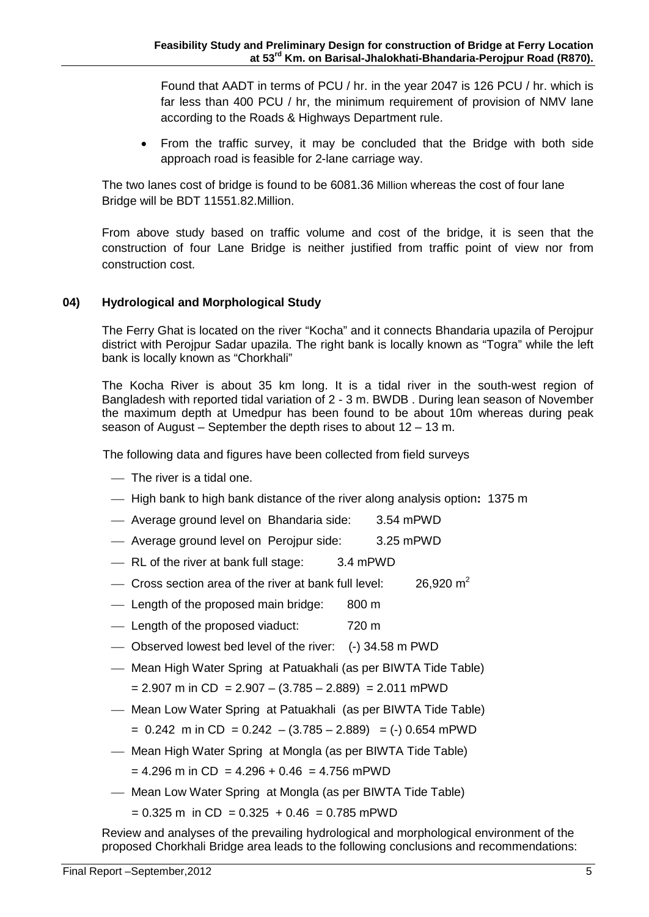Found that AADT in terms of PCU / hr. in the year 2047 is 126 PCU / hr. which is far less than 400 PCU / hr, the minimum requirement of provision of NMV lane according to the Roads & Highways Department rule.

• From the traffic survey, it may be concluded that the Bridge with both side approach road is feasible for 2-lane carriage way.

The two lanes cost of bridge is found to be 6081.36 Million whereas the cost of four lane Bridge will be BDT 11551.82.Million.

From above study based on traffic volume and cost of the bridge, it is seen that the construction of four Lane Bridge is neither justified from traffic point of view nor from construction cost.

## **04) Hydrological and Morphological Study**

The Ferry Ghat is located on the river "Kocha" and it connects Bhandaria upazila of Perojpur district with Perojpur Sadar upazila. The right bank is locally known as "Togra" while the left bank is locally known as "Chorkhali"

The Kocha River is about 35 km long. It is a tidal river in the south-west region of Bangladesh with reported tidal variation of 2 - 3 m. BWDB . During lean season of November the maximum depth at Umedpur has been found to be about 10m whereas during peak season of August – September the depth rises to about 12 – 13 m.

The following data and figures have been collected from field surveys

- The river is a tidal one.
- High bank to high bank distance of the river along analysis option**:** 1375 m
- Average ground level on Bhandaria side: 3.54 mPWD
- Average ground level on Perojpur side: 3.25 mPWD
- RL of the river at bank full stage: 3.4 mPWD
- $\sim$  Cross section area of the river at bank full level: 26.920  $m<sup>2</sup>$
- Length of the proposed main bridge: 800 m
- Length of the proposed viaduct: 720 m
- Observed lowest bed level of the river: (-) 34.58 m PWD
- Mean High Water Spring at Patuakhali (as per BIWTA Tide Table)  $= 2.907$  m in CD = 2.907 – (3.785 – 2.889) = 2.011 mPWD
- Mean Low Water Spring at Patuakhali (as per BIWTA Tide Table)
	- $= 0.242$  m in CD  $= 0.242 (3.785 2.889) = (-) 0.654$  mPWD
- Mean High Water Spring at Mongla (as per BIWTA Tide Table)
	- $= 4.296$  m in CD = 4.296 + 0.46 = 4.756 mPWD
- Mean Low Water Spring at Mongla (as per BIWTA Tide Table)

 $= 0.325$  m in CD  $= 0.325 + 0.46 = 0.785$  mPWD

Review and analyses of the prevailing hydrological and morphological environment of the proposed Chorkhali Bridge area leads to the following conclusions and recommendations: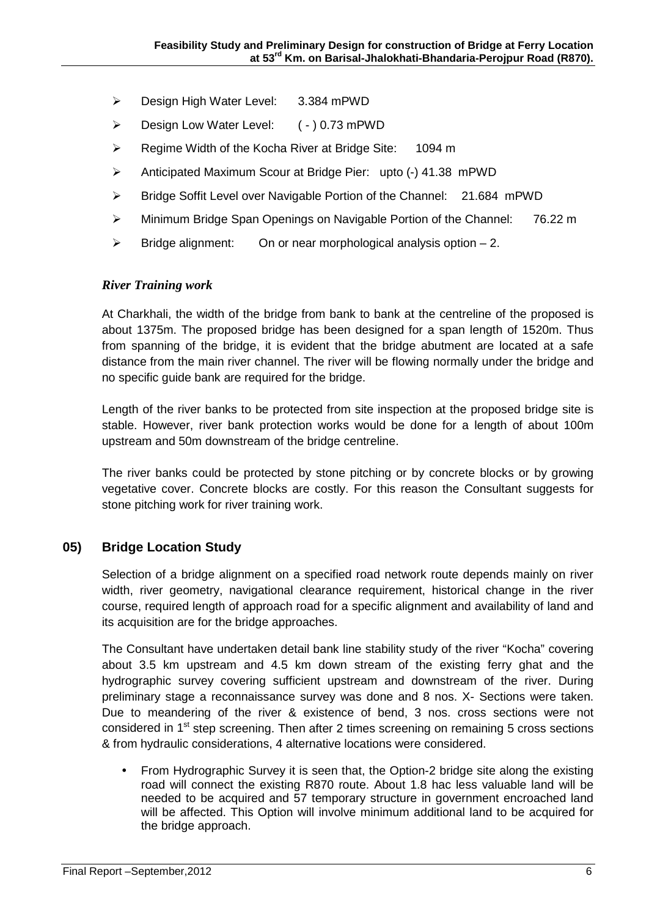- ▶ Design High Water Level: 3.384 mPWD
- Design Low Water Level: ( ) 0.73 mPWD
- ▶ Regime Width of the Kocha River at Bridge Site: 1094 m
- Anticipated Maximum Scour at Bridge Pier: upto (-) 41.38 mPWD
- Bridge Soffit Level over Navigable Portion of the Channel: 21.684 mPWD
- Minimum Bridge Span Openings on Navigable Portion of the Channel: 76.22 m
- $\triangleright$  Bridge alignment: On or near morphological analysis option  $-2$ .

### *River Training work*

At Charkhali, the width of the bridge from bank to bank at the centreline of the proposed is about 1375m. The proposed bridge has been designed for a span length of 1520m. Thus from spanning of the bridge, it is evident that the bridge abutment are located at a safe distance from the main river channel. The river will be flowing normally under the bridge and no specific guide bank are required for the bridge.

Length of the river banks to be protected from site inspection at the proposed bridge site is stable. However, river bank protection works would be done for a length of about 100m upstream and 50m downstream of the bridge centreline.

The river banks could be protected by stone pitching or by concrete blocks or by growing vegetative cover. Concrete blocks are costly. For this reason the Consultant suggests for stone pitching work for river training work.

## **05) Bridge Location Study**

Selection of a bridge alignment on a specified road network route depends mainly on river width, river geometry, navigational clearance requirement, historical change in the river course, required length of approach road for a specific alignment and availability of land and its acquisition are for the bridge approaches.

The Consultant have undertaken detail bank line stability study of the river "Kocha" covering about 3.5 km upstream and 4.5 km down stream of the existing ferry ghat and the hydrographic survey covering sufficient upstream and downstream of the river. During preliminary stage a reconnaissance survey was done and 8 nos. X- Sections were taken. Due to meandering of the river & existence of bend, 3 nos. cross sections were not considered in  $1<sup>st</sup>$  step screening. Then after 2 times screening on remaining 5 cross sections & from hydraulic considerations, 4 alternative locations were considered.

 From Hydrographic Survey it is seen that, the Option-2 bridge site along the existing road will connect the existing R870 route. About 1.8 hac less valuable land will be needed to be acquired and 57 temporary structure in government encroached land will be affected. This Option will involve minimum additional land to be acquired for the bridge approach.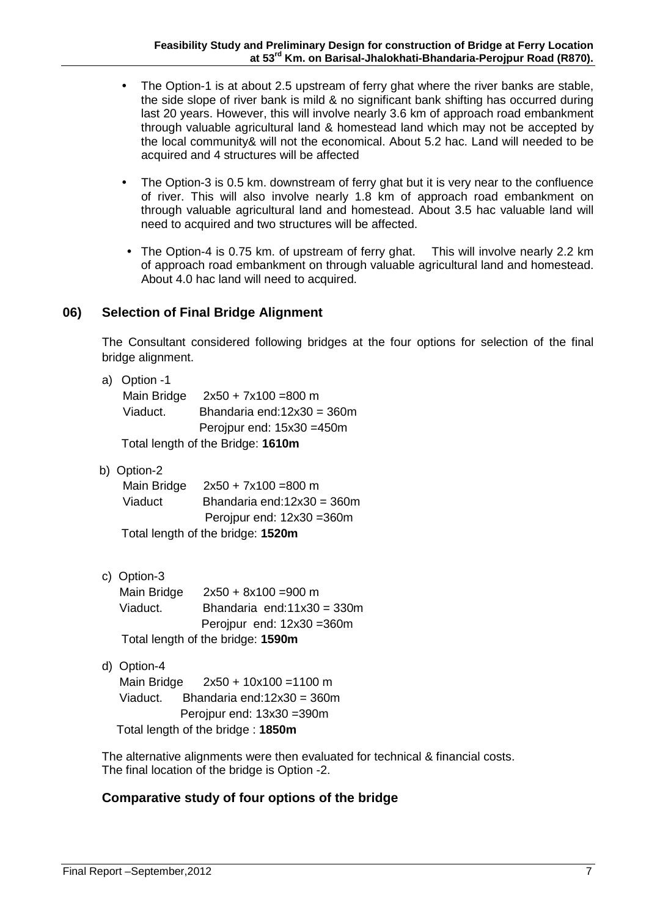- The Option-1 is at about 2.5 upstream of ferry ghat where the river banks are stable, the side slope of river bank is mild & no significant bank shifting has occurred during last 20 years. However, this will involve nearly 3.6 km of approach road embankment through valuable agricultural land & homestead land which may not be accepted by the local community& will not the economical. About 5.2 hac. Land will needed to be acquired and 4 structures will be affected
- The Option-3 is 0.5 km. downstream of ferry ghat but it is very near to the confluence of river. This will also involve nearly 1.8 km of approach road embankment on through valuable agricultural land and homestead. About 3.5 hac valuable land will need to acquired and two structures will be affected.
- The Option-4 is 0.75 km. of upstream of ferry ghat. This will involve nearly 2.2 km of approach road embankment on through valuable agricultural land and homestead. About 4.0 hac land will need to acquired.

## **06) Selection of Final Bridge Alignment**

The Consultant considered following bridges at the four options for selection of the final bridge alignment.

- a) Option -1 Main Bridge 2x50 + 7x100 =800 m Bhandaria end:12x30 = 360m Perojpur end: 15x30 =450m Total length of the Bridge: **1610m** Viaduct.
- b) Option-2

| Main Bridge | $2x50 + 7x100 = 800$ m            |
|-------------|-----------------------------------|
| Viaduct     | Bhandaria end: $12x30 = 360m$     |
|             | Perojpur end: $12x30 = 360m$      |
|             | Total length of the bridge: 1520m |

c) Option-3

|          | Main Bridge |                                   | $2x50 + 8x100 = 900$ m        |
|----------|-------------|-----------------------------------|-------------------------------|
| Viaduct. |             |                                   | Bhandaria end: $11x30 = 330m$ |
|          |             |                                   | Perojpur end: $12x30 = 360m$  |
|          |             | Total length of the bridge: 1590m |                               |

d) Option-4

 Main Bridge 2x50 + 10x100 =1100 m Viaduct. Bhandaria end:12x30 = 360m Perojpur end: 13x30 =390m Total length of the bridge : **1850m**

The alternative alignments were then evaluated for technical & financial costs. The final location of the bridge is Option -2.

# **Comparative study of four options of the bridge**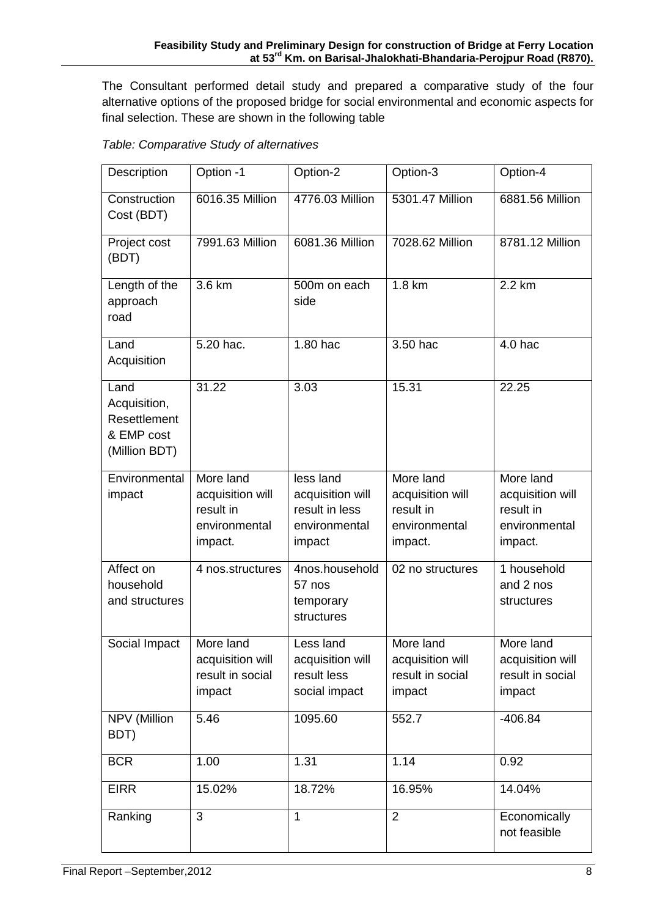The Consultant performed detail study and prepared a comparative study of the four alternative options of the proposed bridge for social environmental and economic aspects for final selection. These are shown in the following table

| Description                                                         | Option -1                                                              | Option-2                                                                   | Option-3                                                               | Option-4                                                               |
|---------------------------------------------------------------------|------------------------------------------------------------------------|----------------------------------------------------------------------------|------------------------------------------------------------------------|------------------------------------------------------------------------|
| Construction<br>Cost (BDT)                                          | 6016.35 Million                                                        | 4776.03 Million                                                            | 5301.47 Million                                                        | 6881.56 Million                                                        |
| Project cost<br>(BDT)                                               | 7991.63 Million                                                        | 6081.36 Million                                                            | 7028.62 Million                                                        | 8781.12 Million                                                        |
| Length of the<br>approach<br>road                                   | 3.6 km                                                                 | 500m on each<br>side                                                       | 1.8 km                                                                 | 2.2 km                                                                 |
| Land<br>Acquisition                                                 | 5.20 hac.                                                              | 1.80 hac                                                                   | 3.50 hac                                                               | $4.0$ hac                                                              |
| Land<br>Acquisition,<br>Resettlement<br>& EMP cost<br>(Million BDT) | $31.\overline{22}$                                                     | 3.03                                                                       | 15.31                                                                  | 22.25                                                                  |
| Environmental<br>impact                                             | More land<br>acquisition will<br>result in<br>environmental<br>impact. | less land<br>acquisition will<br>result in less<br>environmental<br>impact | More land<br>acquisition will<br>result in<br>environmental<br>impact. | More land<br>acquisition will<br>result in<br>environmental<br>impact. |
| Affect on<br>household<br>and structures                            | 4 nos.structures                                                       | 4nos.household<br>57 nos<br>temporary<br>structures                        | 02 no structures                                                       | 1 household<br>and 2 nos<br>structures                                 |
| Social Impact                                                       | More land<br>acquisition will<br>result in social<br>impact            | Less land<br>acquisition will<br>result less<br>social impact              | More land<br>acquisition will<br>result in social<br>impact            | More land<br>acquisition will<br>result in social<br>impact            |
| <b>NPV</b> (Million<br>BDT)                                         | 5.46                                                                   | 1095.60                                                                    | 552.7                                                                  | $-406.84$                                                              |
| <b>BCR</b>                                                          | 1.00                                                                   | 1.31                                                                       | 1.14                                                                   | 0.92                                                                   |
| <b>EIRR</b>                                                         | 15.02%                                                                 | 18.72%                                                                     | 16.95%                                                                 | 14.04%                                                                 |
| Ranking                                                             | $\overline{3}$                                                         | 1                                                                          | $\overline{2}$                                                         | Economically<br>not feasible                                           |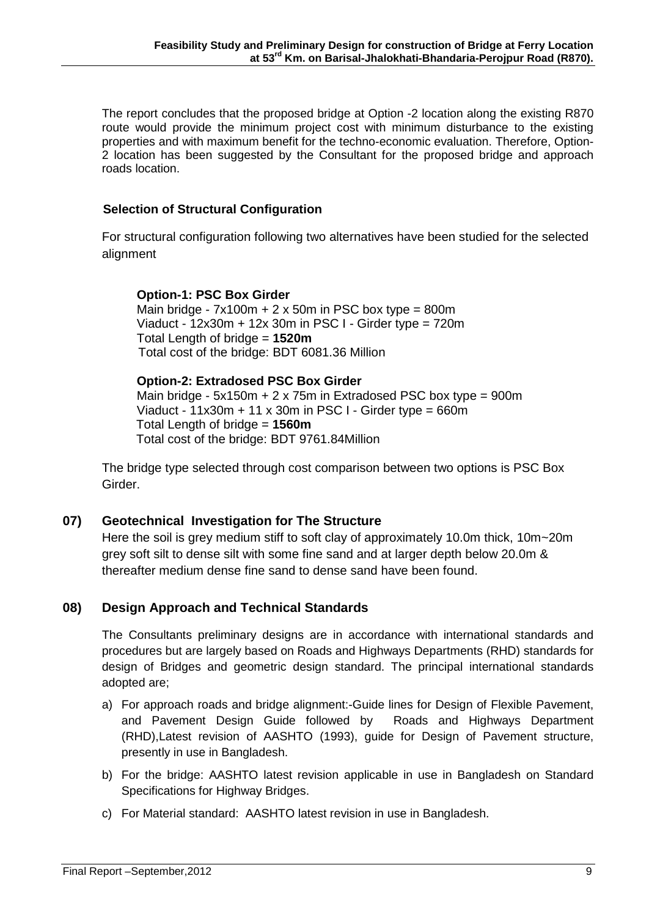The report concludes that the proposed bridge at Option -2 location along the existing R870 route would provide the minimum project cost with minimum disturbance to the existing properties and with maximum benefit for the techno-economic evaluation. Therefore, Option-2 location has been suggested by the Consultant for the proposed bridge and approach roads location.

## **Selection of Structural Configuration**

For structural configuration following two alternatives have been studied for the selected alignment

#### **Option-1: PSC Box Girder** Main bridge -  $7x100m + 2x50m$  in PSC box type = 800m Viaduct - 12x30m + 12x 30m in PSC I - Girder type = 720m Total Length of bridge = **1520m** Total cost of the bridge: BDT 6081.36 Million

 **Option-2: Extradosed PSC Box Girder** Main bridge - 5x150m + 2 x 75m in Extradosed PSC box type = 900m Viaduct -  $11x30m + 11x30m$  in PSC I - Girder type = 660m Total Length of bridge = **1560m**  Total cost of the bridge: BDT 9761.84Million

The bridge type selected through cost comparison between two options is PSC Box Girder.

## **07) Geotechnical Investigation for The Structure**

Here the soil is grey medium stiff to soft clay of approximately 10.0m thick, 10m~20m grey soft silt to dense silt with some fine sand and at larger depth below 20.0m & thereafter medium dense fine sand to dense sand have been found.

## **08) Design Approach and Technical Standards**

The Consultants preliminary designs are in accordance with international standards and procedures but are largely based on Roads and Highways Departments (RHD) standards for design of Bridges and geometric design standard. The principal international standards adopted are;

- a) For approach roads and bridge alignment:-Guide lines for Design of Flexible Pavement, and Pavement Design Guide followed by Roads and Highways Department (RHD),Latest revision of AASHTO (1993), guide for Design of Pavement structure, presently in use in Bangladesh.
- b) For the bridge: AASHTO latest revision applicable in use in Bangladesh on Standard Specifications for Highway Bridges.
- c) For Material standard: AASHTO latest revision in use in Bangladesh.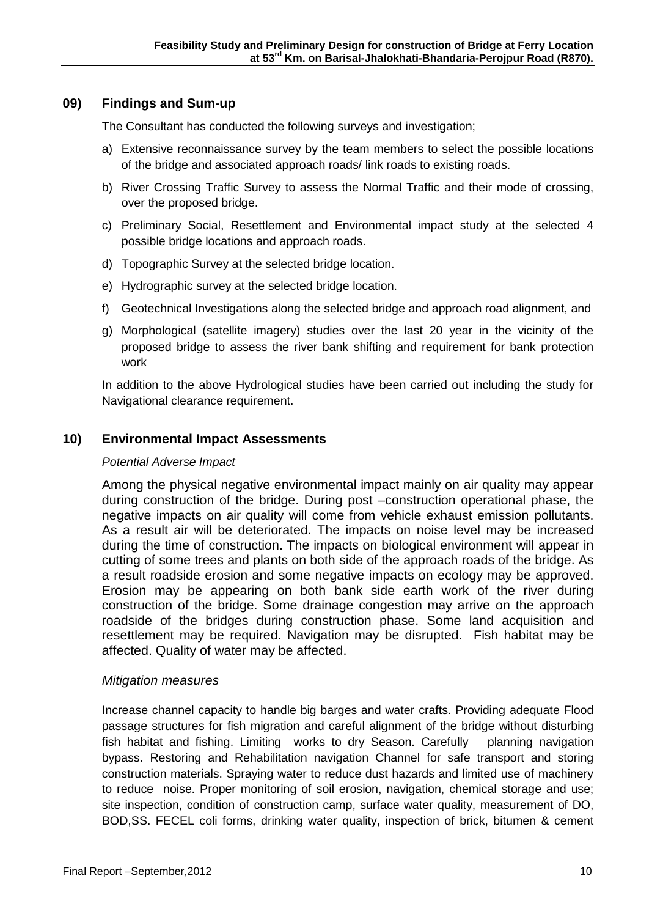## **09) Findings and Sum-up**

The Consultant has conducted the following surveys and investigation;

- a) Extensive reconnaissance survey by the team members to select the possible locations of the bridge and associated approach roads/ link roads to existing roads.
- b) River Crossing Traffic Survey to assess the Normal Traffic and their mode of crossing, over the proposed bridge.
- c) Preliminary Social, Resettlement and Environmental impact study at the selected 4 possible bridge locations and approach roads.
- d) Topographic Survey at the selected bridge location.
- e) Hydrographic survey at the selected bridge location.
- f) Geotechnical Investigations along the selected bridge and approach road alignment, and
- g) Morphological (satellite imagery) studies over the last 20 year in the vicinity of the proposed bridge to assess the river bank shifting and requirement for bank protection work

In addition to the above Hydrological studies have been carried out including the study for Navigational clearance requirement.

## **10) Environmental Impact Assessments**

### *Potential Adverse Impact*

Among the physical negative environmental impact mainly on air quality may appear during construction of the bridge. During post –construction operational phase, the negative impacts on air quality will come from vehicle exhaust emission pollutants. As a result air will be deteriorated. The impacts on noise level may be increased during the time of construction. The impacts on biological environment will appear in cutting of some trees and plants on both side of the approach roads of the bridge. As a result roadside erosion and some negative impacts on ecology may be approved. Erosion may be appearing on both bank side earth work of the river during construction of the bridge. Some drainage congestion may arrive on the approach roadside of the bridges during construction phase. Some land acquisition and resettlement may be required. Navigation may be disrupted. Fish habitat may be affected. Quality of water may be affected.

## *Mitigation measures*

Increase channel capacity to handle big barges and water crafts. Providing adequate Flood passage structures for fish migration and careful alignment of the bridge without disturbing fish habitat and fishing. Limiting works to dry Season. Carefully planning navigation bypass. Restoring and Rehabilitation navigation Channel for safe transport and storing construction materials. Spraying water to reduce dust hazards and limited use of machinery to reduce noise. Proper monitoring of soil erosion, navigation, chemical storage and use; site inspection, condition of construction camp, surface water quality, measurement of DO, BOD,SS. FECEL coli forms, drinking water quality, inspection of brick, bitumen & cement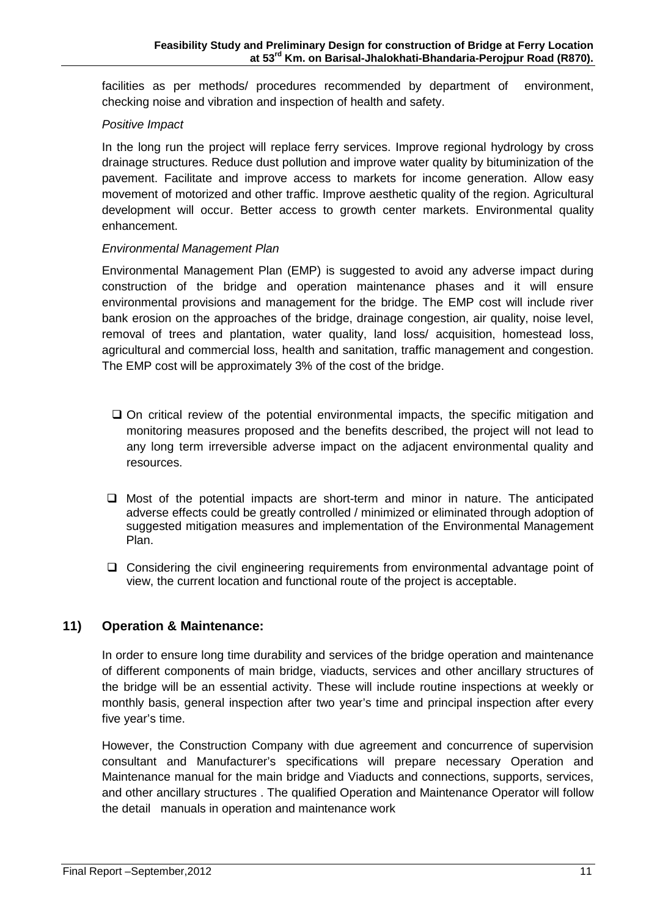facilities as per methods/ procedures recommended by department of environment, checking noise and vibration and inspection of health and safety.

### *Positive Impact*

In the long run the project will replace ferry services. Improve regional hydrology by cross drainage structures. Reduce dust pollution and improve water quality by bituminization of the pavement. Facilitate and improve access to markets for income generation. Allow easy movement of motorized and other traffic. Improve aesthetic quality of the region. Agricultural development will occur. Better access to growth center markets. Environmental quality enhancement.

### *Environmental Management Plan*

Environmental Management Plan (EMP) is suggested to avoid any adverse impact during construction of the bridge and operation maintenance phases and it will ensure environmental provisions and management for the bridge. The EMP cost will include river bank erosion on the approaches of the bridge, drainage congestion, air quality, noise level, removal of trees and plantation, water quality, land loss/ acquisition, homestead loss, agricultural and commercial loss, health and sanitation, traffic management and congestion. The EMP cost will be approximately 3% of the cost of the bridge.

- $\Box$  On critical review of the potential environmental impacts, the specific mitigation and monitoring measures proposed and the benefits described, the project will not lead to any long term irreversible adverse impact on the adjacent environmental quality and resources.
- $\Box$  Most of the potential impacts are short-term and minor in nature. The anticipated adverse effects could be greatly controlled / minimized or eliminated through adoption of suggested mitigation measures and implementation of the Environmental Management Plan.
- Considering the civil engineering requirements from environmental advantage point of view, the current location and functional route of the project is acceptable.

# **11) Operation & Maintenance:**

In order to ensure long time durability and services of the bridge operation and maintenance of different components of main bridge, viaducts, services and other ancillary structures of the bridge will be an essential activity. These will include routine inspections at weekly or monthly basis, general inspection after two year's time and principal inspection after every five year's time.

However, the Construction Company with due agreement and concurrence of supervision consultant and Manufacturer's specifications will prepare necessary Operation and Maintenance manual for the main bridge and Viaducts and connections, supports, services, and other ancillary structures . The qualified Operation and Maintenance Operator will follow the detail manuals in operation and maintenance work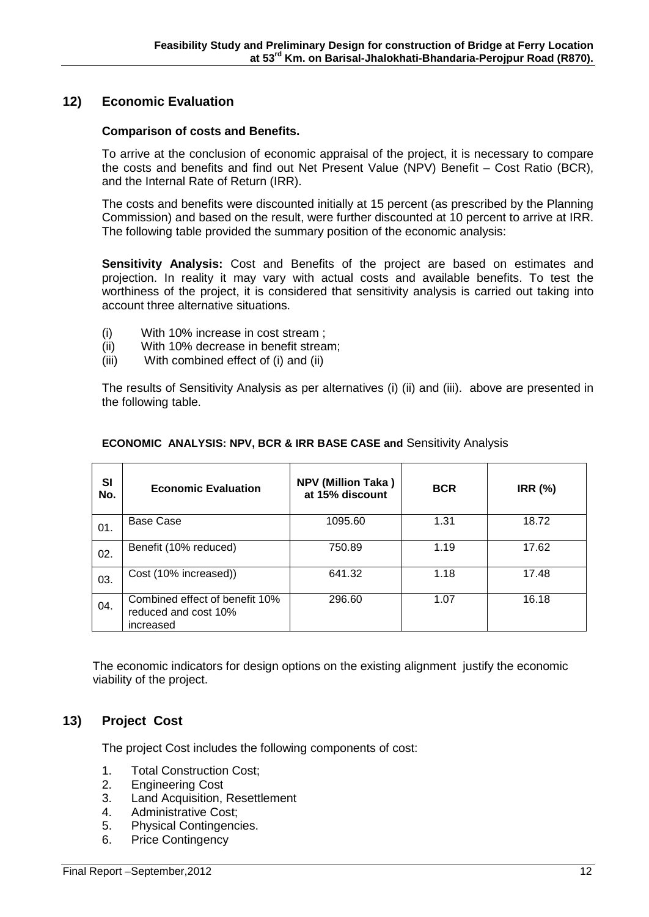## **12) Economic Evaluation**

### **Comparison of costs and Benefits.**

To arrive at the conclusion of economic appraisal of the project, it is necessary to compare the costs and benefits and find out Net Present Value (NPV) Benefit – Cost Ratio (BCR), and the Internal Rate of Return (IRR).

The costs and benefits were discounted initially at 15 percent (as prescribed by the Planning Commission) and based on the result, were further discounted at 10 percent to arrive at IRR. The following table provided the summary position of the economic analysis:

**Sensitivity Analysis:** Cost and Benefits of the project are based on estimates and projection. In reality it may vary with actual costs and available benefits. To test the worthiness of the project, it is considered that sensitivity analysis is carried out taking into account three alternative situations.

- (i) With 10% increase in cost stream ;
- (ii) With 10% decrease in benefit stream;
- (iii) With combined effect of (i) and (ii)

The results of Sensitivity Analysis as per alternatives (i) (ii) and (iii). above are presented in the following table.

| SI<br>No. | <b>Economic Evaluation</b>                                          | <b>NPV (Million Taka)</b><br>at 15% discount | <b>BCR</b> | <b>IRR (%)</b> |
|-----------|---------------------------------------------------------------------|----------------------------------------------|------------|----------------|
| 01.       | Base Case                                                           | 1095.60                                      | 1.31       | 18.72          |
| 02.       | Benefit (10% reduced)                                               | 750.89                                       | 1.19       | 17.62          |
| 03.       | Cost (10% increased))                                               | 641.32                                       | 1.18       | 17.48          |
| 04.       | Combined effect of benefit 10%<br>reduced and cost 10%<br>increased | 296.60                                       | 1.07       | 16.18          |

#### **ECONOMIC ANALYSIS: NPV, BCR & IRR BASE CASE and** Sensitivity Analysis

 The economic indicators for design options on the existing alignment justify the economic viability of the project.

## **13) Project Cost**

The project Cost includes the following components of cost:

- 1. Total Construction Cost;
- 2. Engineering Cost
- 3. Land Acquisition, Resettlement
- 4. Administrative Cost;
- 5. Physical Contingencies.
- 6. Price Contingency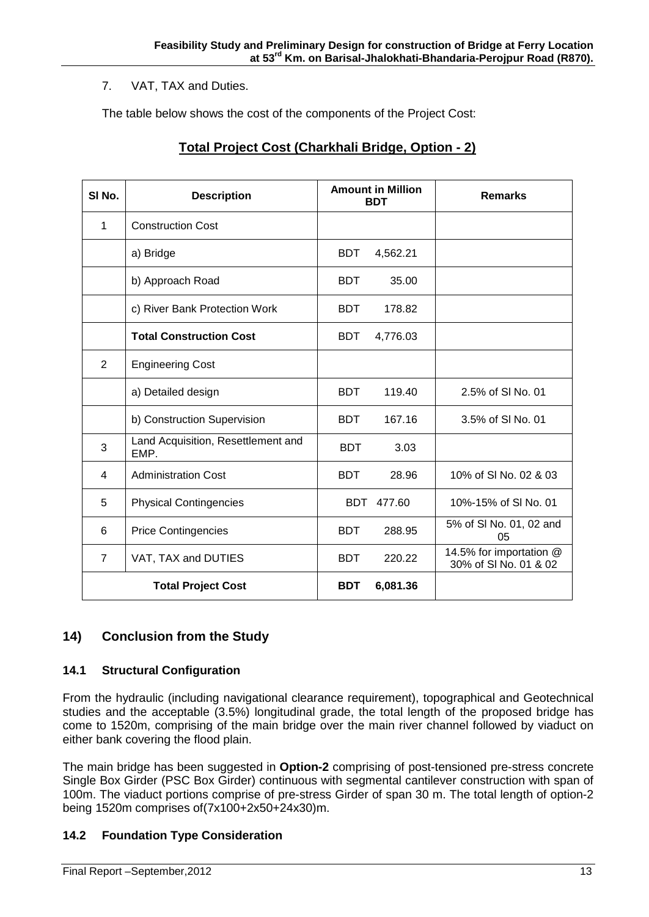## 7. VAT, TAX and Duties.

The table below shows the cost of the components of the Project Cost:

| SI <sub>No.</sub> | <b>Description</b>                         |            | <b>Amount in Million</b><br><b>BDT</b> | <b>Remarks</b>                                   |
|-------------------|--------------------------------------------|------------|----------------------------------------|--------------------------------------------------|
| 1                 | <b>Construction Cost</b>                   |            |                                        |                                                  |
|                   | a) Bridge                                  | <b>BDT</b> | 4,562.21                               |                                                  |
|                   | b) Approach Road                           | <b>BDT</b> | 35.00                                  |                                                  |
|                   | c) River Bank Protection Work              | <b>BDT</b> | 178.82                                 |                                                  |
|                   | <b>Total Construction Cost</b>             | <b>BDT</b> | 4,776.03                               |                                                  |
| $\overline{2}$    | <b>Engineering Cost</b>                    |            |                                        |                                                  |
|                   | a) Detailed design                         | <b>BDT</b> | 119.40                                 | 2.5% of SI No. 01                                |
|                   | b) Construction Supervision                | <b>BDT</b> | 167.16                                 | 3.5% of SI No. 01                                |
| 3                 | Land Acquisition, Resettlement and<br>EMP. | <b>BDT</b> | 3.03                                   |                                                  |
| 4                 | <b>Administration Cost</b>                 | <b>BDT</b> | 28.96                                  | 10% of SI No. 02 & 03                            |
| 5                 | <b>Physical Contingencies</b>              | BDT.       | 477.60                                 | 10%-15% of SI No. 01                             |
| 6                 | <b>Price Contingencies</b>                 | <b>BDT</b> | 288.95                                 | 5% of SI No. 01, 02 and<br>05                    |
| $\overline{7}$    | VAT, TAX and DUTIES                        | <b>BDT</b> | 220.22                                 | 14.5% for importation @<br>30% of SI No. 01 & 02 |
|                   | <b>Total Project Cost</b>                  | <b>BDT</b> | 6,081.36                               |                                                  |

# **Total Project Cost (Charkhali Bridge, Option - 2)**

# **14) Conclusion from the Study**

### **14.1 Structural Configuration**

From the hydraulic (including navigational clearance requirement), topographical and Geotechnical studies and the acceptable (3.5%) longitudinal grade, the total length of the proposed bridge has come to 1520m, comprising of the main bridge over the main river channel followed by viaduct on either bank covering the flood plain.

The main bridge has been suggested in **Option-2** comprising of post-tensioned pre-stress concrete Single Box Girder (PSC Box Girder) continuous with segmental cantilever construction with span of 100m. The viaduct portions comprise of pre-stress Girder of span 30 m. The total length of option-2 being 1520m comprises of(7x100+2x50+24x30)m.

## **14.2 Foundation Type Consideration**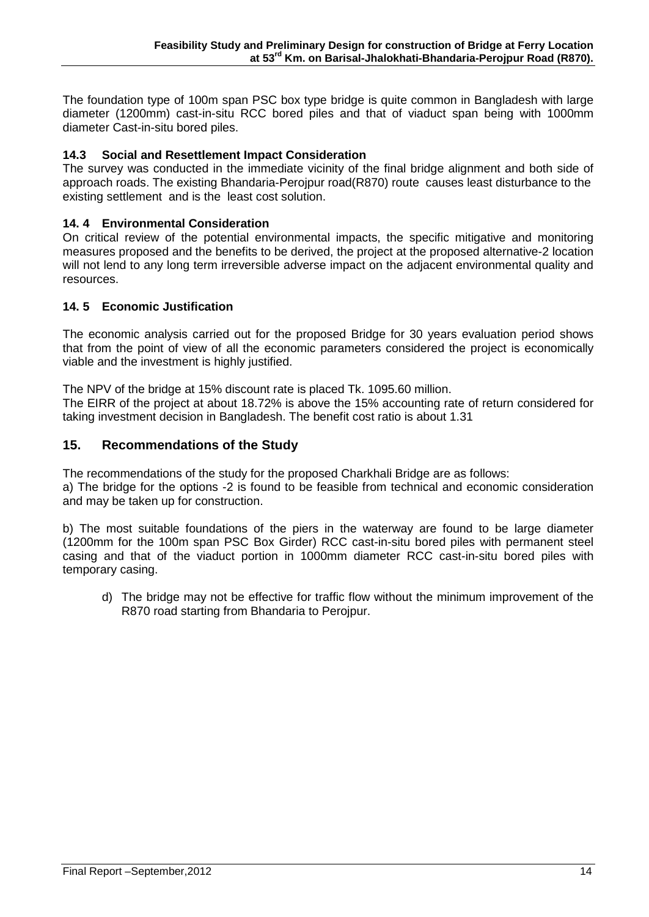The foundation type of 100m span PSC box type bridge is quite common in Bangladesh with large diameter (1200mm) cast-in-situ RCC bored piles and that of viaduct span being with 1000mm diameter Cast-in-situ bored piles.

## **14.3 Social and Resettlement Impact Consideration**

The survey was conducted in the immediate vicinity of the final bridge alignment and both side of approach roads. The existing Bhandaria-Perojpur road(R870) route causes least disturbance to the existing settlement and is the least cost solution.

## **14. 4 Environmental Consideration**

On critical review of the potential environmental impacts, the specific mitigative and monitoring measures proposed and the benefits to be derived, the project at the proposed alternative-2 location will not lend to any long term irreversible adverse impact on the adjacent environmental quality and resources.

## **14. 5 Economic Justification**

The economic analysis carried out for the proposed Bridge for 30 years evaluation period shows that from the point of view of all the economic parameters considered the project is economically viable and the investment is highly justified.

The NPV of the bridge at 15% discount rate is placed Tk. 1095.60 million.

The EIRR of the project at about 18.72% is above the 15% accounting rate of return considered for taking investment decision in Bangladesh. The benefit cost ratio is about 1.31

## **15. Recommendations of the Study**

The recommendations of the study for the proposed Charkhali Bridge are as follows:

a) The bridge for the options -2 is found to be feasible from technical and economic consideration and may be taken up for construction.

b) The most suitable foundations of the piers in the waterway are found to be large diameter (1200mm for the 100m span PSC Box Girder) RCC cast-in-situ bored piles with permanent steel casing and that of the viaduct portion in 1000mm diameter RCC cast-in-situ bored piles with temporary casing.

d) The bridge may not be effective for traffic flow without the minimum improvement of the R870 road starting from Bhandaria to Perojpur.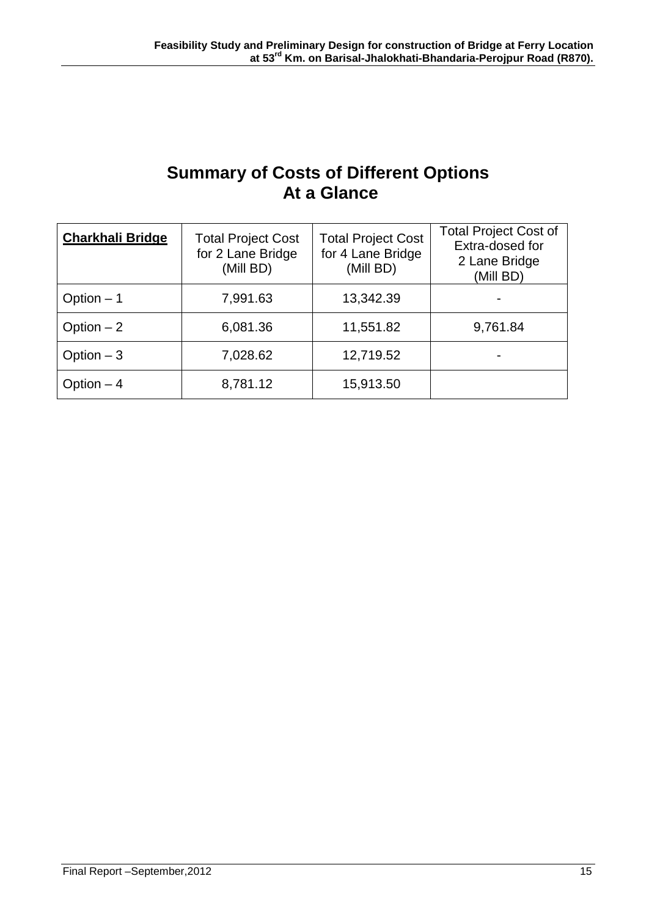# **Summary of Costs of Different Options At a Glance**

| <b>Charkhali Bridge</b> | <b>Total Project Cost</b><br>for 2 Lane Bridge<br>(Mill BD) | <b>Total Project Cost</b><br>for 4 Lane Bridge<br>(Mill BD) | <b>Total Project Cost of</b><br>Extra-dosed for<br>2 Lane Bridge<br>(Mill BD) |
|-------------------------|-------------------------------------------------------------|-------------------------------------------------------------|-------------------------------------------------------------------------------|
| Option $-1$             | 7,991.63                                                    | 13,342.39                                                   |                                                                               |
| Option $-2$             | 6,081.36                                                    | 11,551.82                                                   | 9,761.84                                                                      |
| Option $-3$             | 7,028.62                                                    | 12,719.52                                                   |                                                                               |
| Option $-4$             | 8,781.12                                                    | 15,913.50                                                   |                                                                               |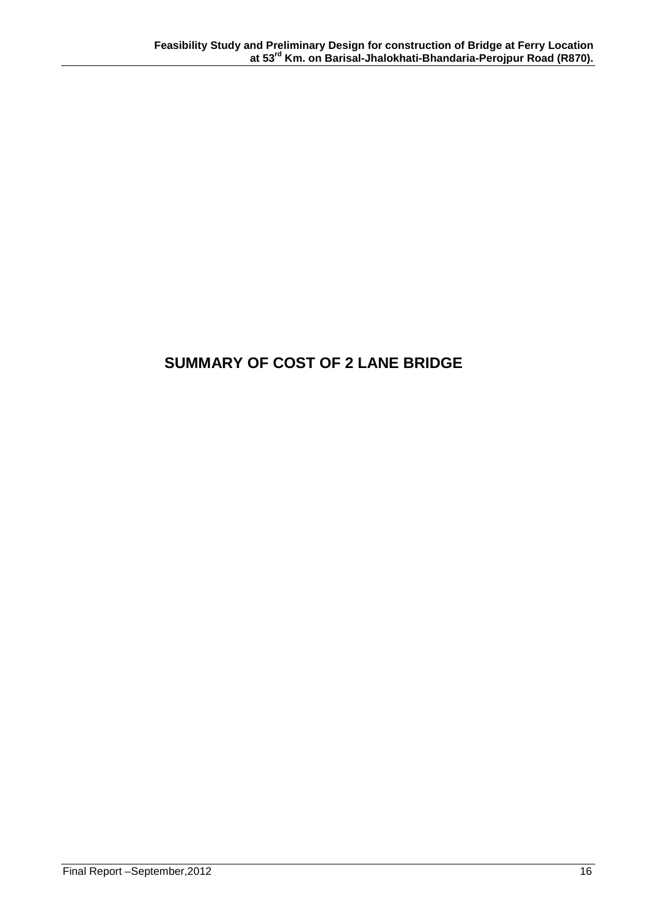# **SUMMARY OF COST OF 2 LANE BRIDGE**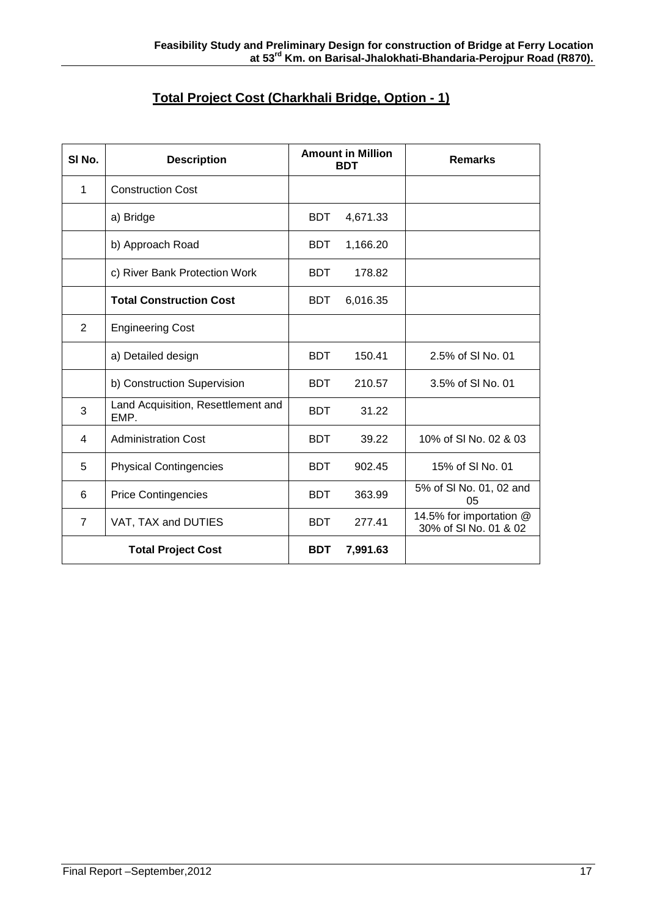| Total Project Cost (Charkhali Bridge, Option - 1) |
|---------------------------------------------------|
|---------------------------------------------------|

| SI No.         | <b>Description</b>                         | <b>Amount in Million</b><br><b>BDT</b> |          | <b>Remarks</b>                                   |
|----------------|--------------------------------------------|----------------------------------------|----------|--------------------------------------------------|
| 1              | <b>Construction Cost</b>                   |                                        |          |                                                  |
|                | a) Bridge                                  | <b>BDT</b>                             | 4,671.33 |                                                  |
|                | b) Approach Road                           | <b>BDT</b>                             | 1,166.20 |                                                  |
|                | c) River Bank Protection Work              | <b>BDT</b>                             | 178.82   |                                                  |
|                | <b>Total Construction Cost</b>             | <b>BDT</b>                             | 6,016.35 |                                                  |
| $\overline{2}$ | <b>Engineering Cost</b>                    |                                        |          |                                                  |
|                | a) Detailed design                         | <b>BDT</b>                             | 150.41   | 2.5% of SI No. 01                                |
|                | b) Construction Supervision                | <b>BDT</b>                             | 210.57   | 3.5% of SI No. 01                                |
| 3              | Land Acquisition, Resettlement and<br>EMP. | <b>BDT</b>                             | 31.22    |                                                  |
| 4              | <b>Administration Cost</b>                 | <b>BDT</b>                             | 39.22    | 10% of SI No. 02 & 03                            |
| 5              | <b>Physical Contingencies</b>              | <b>BDT</b>                             | 902.45   | 15% of SI No. 01                                 |
| 6              | <b>Price Contingencies</b>                 | <b>BDT</b>                             | 363.99   | 5% of SI No. 01, 02 and<br>05                    |
| $\overline{7}$ | VAT, TAX and DUTIES                        | <b>BDT</b>                             | 277.41   | 14.5% for importation @<br>30% of SI No. 01 & 02 |
|                | <b>Total Project Cost</b>                  | <b>BDT</b>                             | 7,991.63 |                                                  |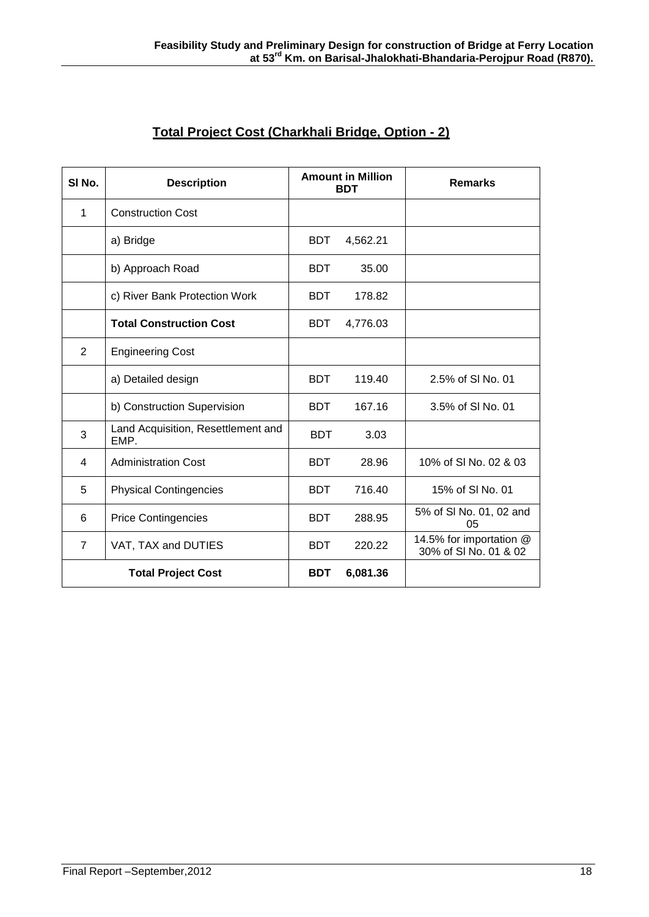| SI <sub>No.</sub>         | <b>Description</b>                         | <b>Amount in Million</b><br><b>BDT</b> |          | <b>Remarks</b>                                   |
|---------------------------|--------------------------------------------|----------------------------------------|----------|--------------------------------------------------|
| 1                         | <b>Construction Cost</b>                   |                                        |          |                                                  |
|                           | a) Bridge                                  | <b>BDT</b>                             | 4,562.21 |                                                  |
|                           | b) Approach Road                           | <b>BDT</b>                             | 35.00    |                                                  |
|                           | c) River Bank Protection Work              | <b>BDT</b>                             | 178.82   |                                                  |
|                           | <b>Total Construction Cost</b>             | <b>BDT</b>                             | 4,776.03 |                                                  |
| 2                         | <b>Engineering Cost</b>                    |                                        |          |                                                  |
|                           | a) Detailed design                         | <b>BDT</b>                             | 119.40   | 2.5% of SI No. 01                                |
|                           | b) Construction Supervision                | <b>BDT</b>                             | 167.16   | 3.5% of SI No. 01                                |
| 3                         | Land Acquisition, Resettlement and<br>EMP. | <b>BDT</b>                             | 3.03     |                                                  |
| 4                         | <b>Administration Cost</b>                 | <b>BDT</b>                             | 28.96    | 10% of SI No. 02 & 03                            |
| 5                         | <b>Physical Contingencies</b>              | <b>BDT</b>                             | 716.40   | 15% of SI No. 01                                 |
| 6                         | <b>Price Contingencies</b>                 | <b>BDT</b>                             | 288.95   | 5% of SI No. 01, 02 and<br>05                    |
| $\overline{7}$            | VAT, TAX and DUTIES                        | <b>BDT</b>                             | 220.22   | 14.5% for importation @<br>30% of SI No. 01 & 02 |
| <b>Total Project Cost</b> |                                            | <b>BDT</b>                             | 6,081.36 |                                                  |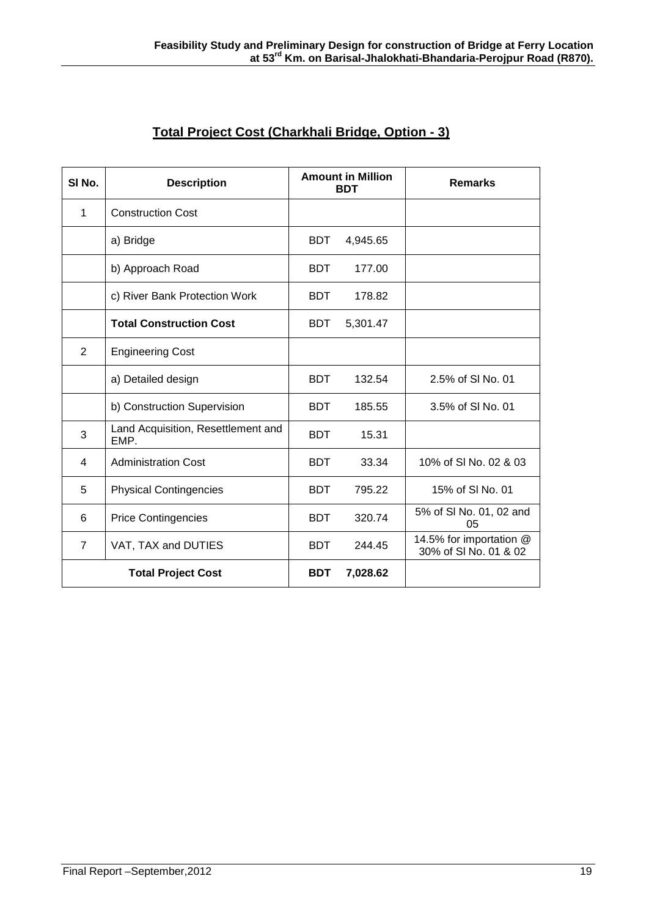| SI <sub>No.</sub> | <b>Description</b>                         | <b>Amount in Million</b><br><b>BDT</b> |          | <b>Remarks</b>                                   |
|-------------------|--------------------------------------------|----------------------------------------|----------|--------------------------------------------------|
| 1                 | <b>Construction Cost</b>                   |                                        |          |                                                  |
|                   | a) Bridge                                  | <b>BDT</b>                             | 4,945.65 |                                                  |
|                   | b) Approach Road                           | <b>BDT</b>                             | 177.00   |                                                  |
|                   | c) River Bank Protection Work              | <b>BDT</b>                             | 178.82   |                                                  |
|                   | <b>Total Construction Cost</b>             | <b>BDT</b>                             | 5,301.47 |                                                  |
| $\overline{2}$    | <b>Engineering Cost</b>                    |                                        |          |                                                  |
|                   | a) Detailed design                         | <b>BDT</b>                             | 132.54   | 2.5% of SI No. 01                                |
|                   | b) Construction Supervision                | <b>BDT</b>                             | 185.55   | 3.5% of SI No. 01                                |
| 3                 | Land Acquisition, Resettlement and<br>EMP. | <b>BDT</b>                             | 15.31    |                                                  |
| $\overline{4}$    | <b>Administration Cost</b>                 | <b>BDT</b>                             | 33.34    | 10% of SI No. 02 & 03                            |
| 5                 | <b>Physical Contingencies</b>              | <b>BDT</b>                             | 795.22   | 15% of SLNo. 01                                  |
| 6                 | <b>Price Contingencies</b>                 | <b>BDT</b>                             | 320.74   | 5% of SI No. 01, 02 and<br>0 <sub>5</sub>        |
| $\overline{7}$    | VAT, TAX and DUTIES                        | <b>BDT</b>                             | 244.45   | 14.5% for importation @<br>30% of SI No. 01 & 02 |
|                   | <b>Total Project Cost</b>                  | <b>BDT</b>                             | 7,028.62 |                                                  |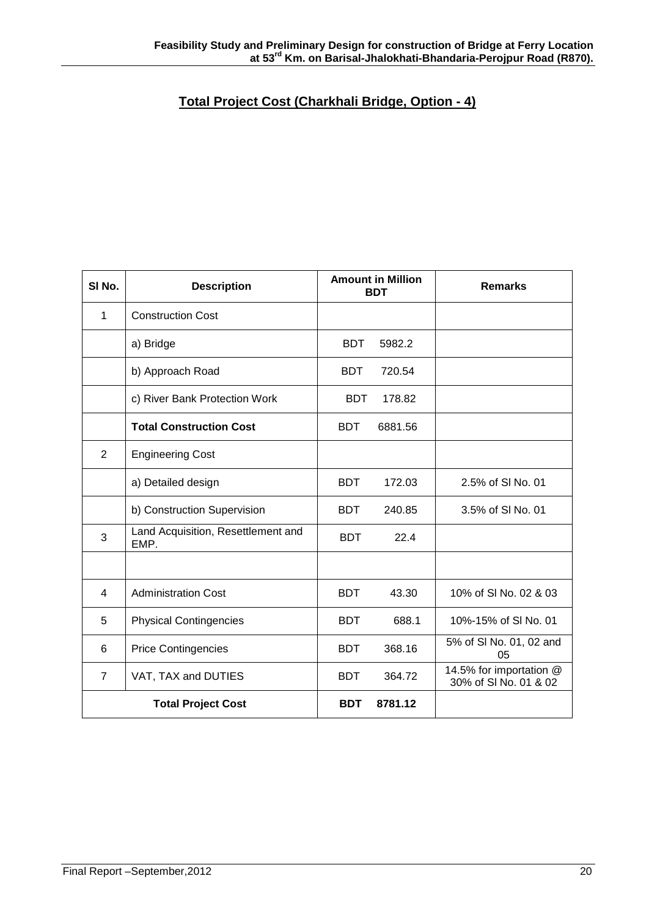## **Total Project Cost (Charkhali Bridge, Option - 4)**

| SI <sub>No.</sub> | <b>Description</b>                         | <b>Amount in Million</b><br><b>BDT</b> | <b>Remarks</b>                                   |
|-------------------|--------------------------------------------|----------------------------------------|--------------------------------------------------|
| 1                 | <b>Construction Cost</b>                   |                                        |                                                  |
|                   | a) Bridge                                  | <b>BDT</b><br>5982.2                   |                                                  |
|                   | b) Approach Road                           | <b>BDT</b><br>720.54                   |                                                  |
|                   | c) River Bank Protection Work              | <b>BDT</b><br>178.82                   |                                                  |
|                   | <b>Total Construction Cost</b>             | <b>BDT</b><br>6881.56                  |                                                  |
| $\overline{2}$    | <b>Engineering Cost</b>                    |                                        |                                                  |
|                   | a) Detailed design                         | <b>BDT</b><br>172.03                   | 2.5% of SI No. 01                                |
|                   | b) Construction Supervision                | <b>BDT</b><br>240.85                   | 3.5% of SI No. 01                                |
| 3                 | Land Acquisition, Resettlement and<br>EMP. | 22.4<br><b>BDT</b>                     |                                                  |
|                   |                                            |                                        |                                                  |
| $\overline{4}$    | <b>Administration Cost</b>                 | <b>BDT</b><br>43.30                    | 10% of SI No. 02 & 03                            |
| 5                 | <b>Physical Contingencies</b>              | <b>BDT</b><br>688.1                    | 10%-15% of SI No. 01                             |
| 6                 | <b>Price Contingencies</b>                 | 368.16<br><b>BDT</b>                   | 5% of SI No. 01, 02 and<br>05                    |
| $\overline{7}$    | VAT, TAX and DUTIES                        | <b>BDT</b><br>364.72                   | 14.5% for importation @<br>30% of SI No. 01 & 02 |
|                   | <b>Total Project Cost</b>                  | <b>BDT</b><br>8781.12                  |                                                  |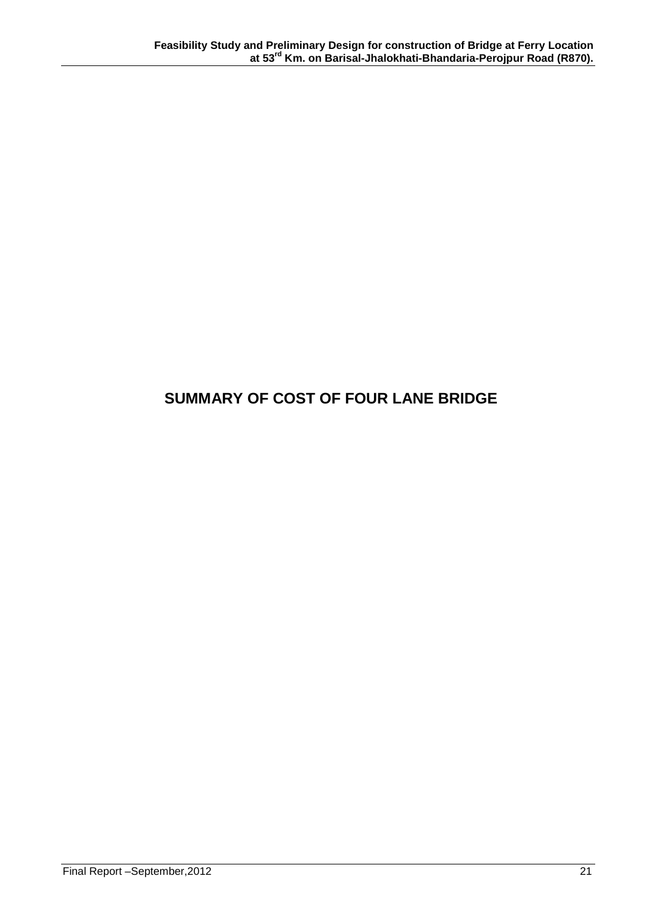# **SUMMARY OF COST OF FOUR LANE BRIDGE**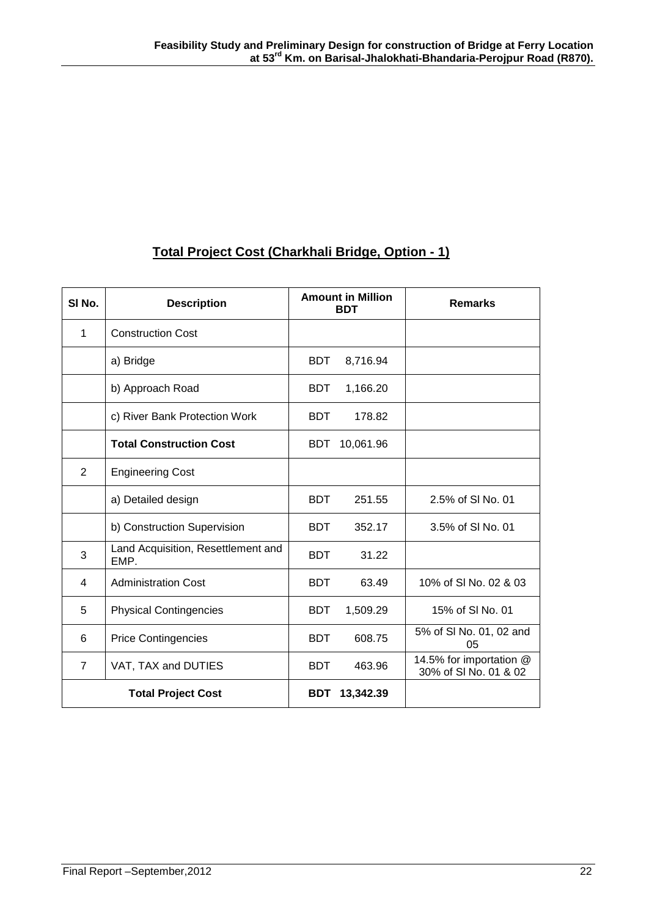# **Total Project Cost (Charkhali Bridge, Option - 1)**

| SI <sub>No.</sub>         | <b>Description</b>                         | <b>Amount in Million</b><br><b>BDT</b> |           | <b>Remarks</b>                                   |
|---------------------------|--------------------------------------------|----------------------------------------|-----------|--------------------------------------------------|
| 1                         | <b>Construction Cost</b>                   |                                        |           |                                                  |
|                           | a) Bridge                                  | <b>BDT</b>                             | 8,716.94  |                                                  |
|                           | b) Approach Road                           | <b>BDT</b>                             | 1,166.20  |                                                  |
|                           | c) River Bank Protection Work              | BDT.                                   | 178.82    |                                                  |
|                           | <b>Total Construction Cost</b>             | BDT                                    | 10,061.96 |                                                  |
| $\overline{2}$            | <b>Engineering Cost</b>                    |                                        |           |                                                  |
|                           | a) Detailed design                         | <b>BDT</b>                             | 251.55    | 2.5% of SI No. 01                                |
|                           | b) Construction Supervision                | <b>BDT</b>                             | 352.17    | 3.5% of SI No. 01                                |
| 3                         | Land Acquisition, Resettlement and<br>EMP. | <b>BDT</b>                             | 31.22     |                                                  |
| 4                         | <b>Administration Cost</b>                 | <b>BDT</b>                             | 63.49     | 10% of SI No. 02 & 03                            |
| 5                         | <b>Physical Contingencies</b>              | <b>BDT</b>                             | 1,509.29  | 15% of SI No. 01                                 |
| 6                         | <b>Price Contingencies</b>                 | <b>BDT</b>                             | 608.75    | 5% of SI No. 01, 02 and<br>05                    |
| $\overline{7}$            | VAT, TAX and DUTIES                        | <b>BDT</b>                             | 463.96    | 14.5% for importation @<br>30% of SI No. 01 & 02 |
| <b>Total Project Cost</b> |                                            | <b>BDT</b>                             | 13,342.39 |                                                  |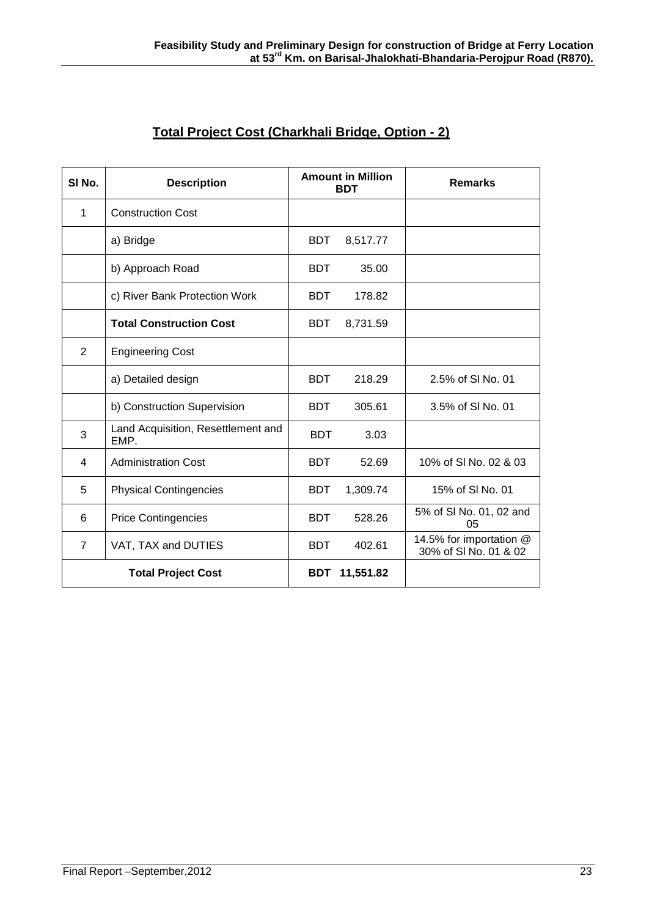| SI <sub>No.</sub>         | <b>Description</b>                         | <b>Amount in Million</b><br><b>BDT</b> |           | <b>Remarks</b>                                   |
|---------------------------|--------------------------------------------|----------------------------------------|-----------|--------------------------------------------------|
| 1                         | <b>Construction Cost</b>                   |                                        |           |                                                  |
|                           | a) Bridge                                  | <b>BDT</b>                             | 8,517.77  |                                                  |
|                           | b) Approach Road                           | <b>BDT</b>                             | 35.00     |                                                  |
|                           | c) River Bank Protection Work              | <b>BDT</b>                             | 178.82    |                                                  |
|                           | <b>Total Construction Cost</b>             | <b>BDT</b>                             | 8,731.59  |                                                  |
| $\overline{2}$            | <b>Engineering Cost</b>                    |                                        |           |                                                  |
|                           | a) Detailed design                         | <b>BDT</b>                             | 218.29    | 2.5% of SI No. 01                                |
|                           | b) Construction Supervision                | <b>BDT</b>                             | 305.61    | 3.5% of SI No. 01                                |
| 3                         | Land Acquisition, Resettlement and<br>EMP. | <b>BDT</b>                             | 3.03      |                                                  |
| 4                         | <b>Administration Cost</b>                 | <b>BDT</b>                             | 52.69     | 10% of SI No. 02 & 03                            |
| 5                         | <b>Physical Contingencies</b>              | <b>BDT</b>                             | 1,309.74  | 15% of SI No. 01                                 |
| 6                         | <b>Price Contingencies</b>                 | <b>BDT</b>                             | 528.26    | 5% of SI No. 01, 02 and<br>0 <sub>5</sub>        |
| $\overline{7}$            | VAT, TAX and DUTIES                        | <b>BDT</b>                             | 402.61    | 14.5% for importation @<br>30% of SI No. 01 & 02 |
| <b>Total Project Cost</b> |                                            | <b>BDT</b>                             | 11,551.82 |                                                  |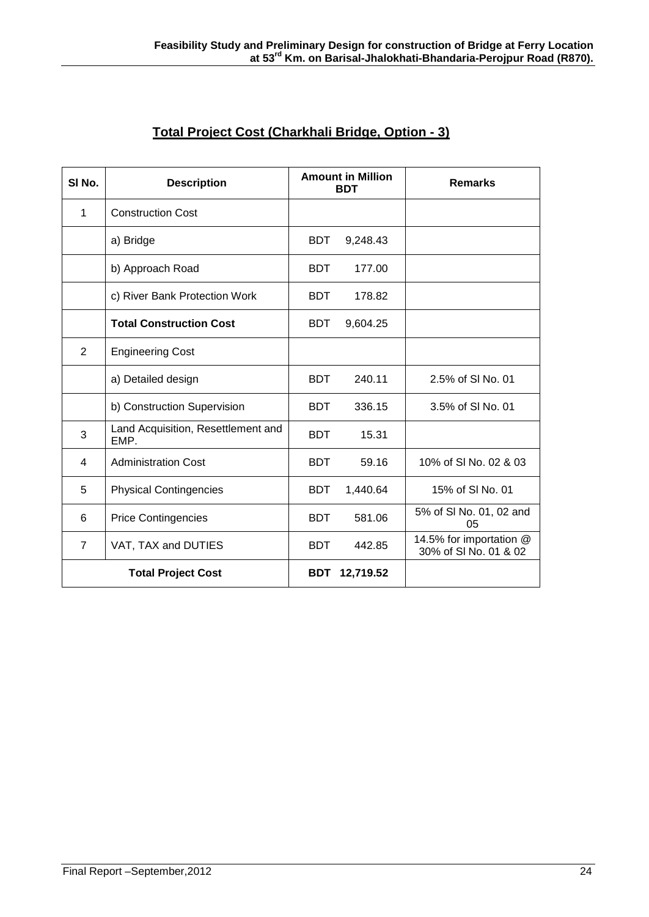| SI <sub>No.</sub>         | <b>Description</b>                         | <b>Amount in Million</b><br><b>BDT</b> |           | <b>Remarks</b>                                   |
|---------------------------|--------------------------------------------|----------------------------------------|-----------|--------------------------------------------------|
| 1                         | <b>Construction Cost</b>                   |                                        |           |                                                  |
|                           | a) Bridge                                  | <b>BDT</b>                             | 9,248.43  |                                                  |
|                           | b) Approach Road                           | <b>BDT</b>                             | 177.00    |                                                  |
|                           | c) River Bank Protection Work              | <b>BDT</b>                             | 178.82    |                                                  |
|                           | <b>Total Construction Cost</b>             | <b>BDT</b>                             | 9,604.25  |                                                  |
| 2                         | <b>Engineering Cost</b>                    |                                        |           |                                                  |
|                           | a) Detailed design                         | <b>BDT</b>                             | 240.11    | 2.5% of SI No. 01                                |
|                           | b) Construction Supervision                | <b>BDT</b>                             | 336.15    | 3.5% of SI No. 01                                |
| 3                         | Land Acquisition, Resettlement and<br>EMP. | <b>BDT</b>                             | 15.31     |                                                  |
| $\overline{\mathbf{4}}$   | <b>Administration Cost</b>                 | <b>BDT</b>                             | 59.16     | 10% of SI No. 02 & 03                            |
| 5                         | <b>Physical Contingencies</b>              | <b>BDT</b>                             | 1,440.64  | 15% of SI No. 01                                 |
| 6                         | <b>Price Contingencies</b>                 | <b>BDT</b>                             | 581.06    | 5% of SI No. 01, 02 and<br>05                    |
| $\overline{7}$            | VAT, TAX and DUTIES                        | <b>BDT</b>                             | 442.85    | 14.5% for importation @<br>30% of SI No. 01 & 02 |
| <b>Total Project Cost</b> |                                            | <b>BDT</b>                             | 12,719.52 |                                                  |